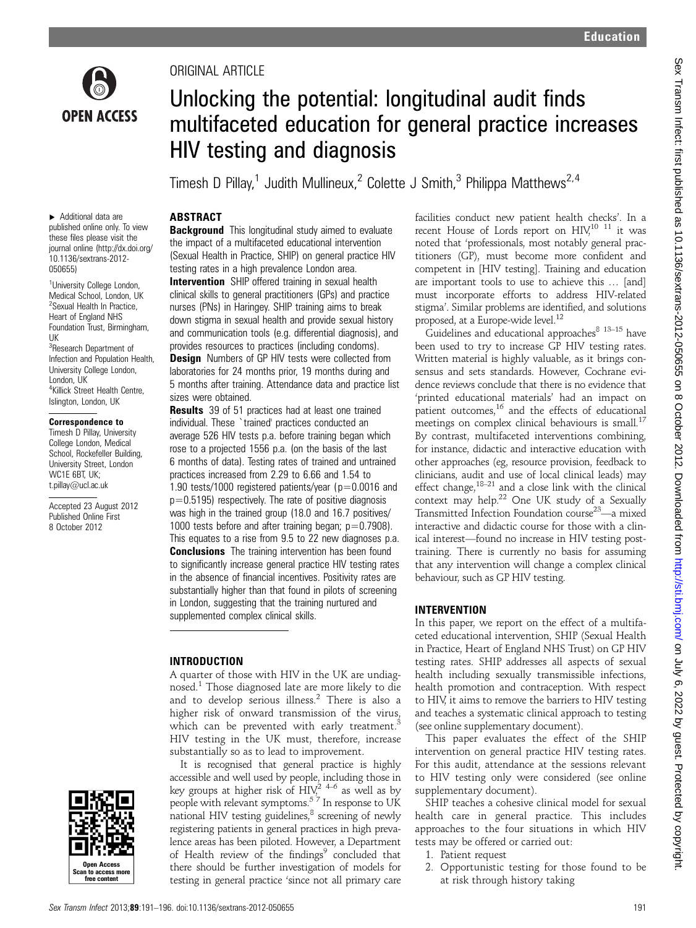

## ORIGINAL ARTICLE

# Unlocking the potential: longitudinal audit finds multifaceted education for general practice increases HIV testing and diagnosis

Timesh D Pillay,<sup>1</sup> Judith Mullineux,<sup>2</sup> Colette J Smith,<sup>3</sup> Philippa Matthews<sup>2,4</sup>

▸ Additional data are published online only. To view these files please visit the journal online [\(http://dx.doi.org/](http://dx.doi.org/10.1136/sextrans-2012-050655) [10.1136/sextrans-2012-](http://dx.doi.org/10.1136/sextrans-2012-050655) [050655\)](http://dx.doi.org/10.1136/sextrans-2012-050655)

<sup>1</sup>University College London, Medical School, London, UK <sup>2</sup> Sexual Health In Practice, Heart of England NHS Foundation Trust, Birmingham, UK <sup>3</sup>Research Department of Infection and Population Health, University College London, London, UK

4 Killick Street Health Centre, Islington, London, UK

#### Correspondence to

Timesh D Pillay, University College London, Medical School, Rockefeller Building, University Street, London WC1E 6BT, UK; t.pillay@ucl.ac.uk

Accepted 23 August 2012 Published Online First 8 October 2012



## ABSTRACT

**Background** This longitudinal study aimed to evaluate the impact of a multifaceted educational intervention (Sexual Health in Practice, SHIP) on general practice HIV testing rates in a high prevalence London area. **Intervention** SHIP offered training in sexual health clinical skills to general practitioners (GPs) and practice nurses (PNs) in Haringey. SHIP training aims to break down stigma in sexual health and provide sexual history and communication tools (e.g. differential diagnosis), and provides resources to practices (including condoms). **Design** Numbers of GP HIV tests were collected from laboratories for 24 months prior, 19 months during and 5 months after training. Attendance data and practice list sizes were obtained.

**Results** 39 of 51 practices had at least one trained individual. These `trained' practices conducted an average 526 HIV tests p.a. before training began which rose to a projected 1556 p.a. (on the basis of the last 6 months of data). Testing rates of trained and untrained practices increased from 2.29 to 6.66 and 1.54 to 1.90 tests/1000 registered patients/year ( $p=0.0016$  and  $p=0.5195$ ) respectively. The rate of positive diagnosis was high in the trained group (18.0 and 16.7 positives/ 1000 tests before and after training began;  $p=0.7908$ ). This equates to a rise from 9.5 to 22 new diagnoses p.a. **Conclusions** The training intervention has been found to significantly increase general practice HIV testing rates in the absence of financial incentives. Positivity rates are substantially higher than that found in pilots of screening in London, suggesting that the training nurtured and supplemented complex clinical skills.

### INTRODUCTION

A quarter of those with HIV in the UK are undiagnosed.1 Those diagnosed late are more likely to die and to develop serious illness.<sup>2</sup> There is also a higher risk of onward transmission of the virus, which can be prevented with early treatment.<sup>3</sup> HIV testing in the UK must, therefore, increase substantially so as to lead to improvement.

It is recognised that general practice is highly accessible and well used by people, including those in key groups at higher risk of  $HIV<sup>2</sup>$ <sup>4-6</sup> as well as by people with relevant symptoms.<sup>57</sup> In response to UK national HIV testing guidelines, $\frac{8}{3}$  screening of newly registering patients in general practices in high prevalence areas has been piloted. However, a Department of Health review of the findings $9$  concluded that there should be further investigation of models for testing in general practice 'since not all primary care facilities conduct new patient health checks'. In a recent House of Lords report on HIV,<sup>10 11</sup> it was noted that 'professionals, most notably general practitioners (GP), must become more confident and competent in [HIV testing]. Training and education are important tools to use to achieve this … [and] must incorporate efforts to address HIV-related stigma'. Similar problems are identified, and solutions proposed, at a Europe-wide level.<sup>12</sup>

Guidelines and educational approaches  $^{\rm 8}$   $^{\rm 13-15}$  have been used to try to increase GP HIV testing rates. Written material is highly valuable, as it brings consensus and sets standards. However, Cochrane evidence reviews conclude that there is no evidence that 'printed educational materials' had an impact on patient outcomes, $16$  and the effects of educational meetings on complex clinical behaviours is small.<sup>17</sup> By contrast, multifaceted interventions combining, for instance, didactic and interactive education with other approaches (eg, resource provision, feedback to clinicians, audit and use of local clinical leads) may effect change, $18-21$  and a close link with the clinical context may help.<sup>22</sup> One UK study of a Sexually Transmitted Infection Foundation course23—a mixed interactive and didactic course for those with a clinical interest—found no increase in HIV testing posttraining. There is currently no basis for assuming that any intervention will change a complex clinical behaviour, such as GP HIV testing.

## INTERVENTION

In this paper, we report on the effect of a multifaceted educational intervention, SHIP (Sexual Health in Practice, Heart of England NHS Trust) on GP HIV testing rates. SHIP addresses all aspects of sexual health including sexually transmissible infections, health promotion and contraception. With respect to HIV, it aims to remove the barriers to HIV testing and teaches a systematic clinical approach to testing (see online supplementary document).

This paper evaluates the effect of the SHIP intervention on general practice HIV testing rates. For this audit, attendance at the sessions relevant to HIV testing only were considered (see online supplementary document).

SHIP teaches a cohesive clinical model for sexual health care in general practice. This includes approaches to the four situations in which HIV tests may be offered or carried out:

- 1. Patient request
- 2. Opportunistic testing for those found to be at risk through history taking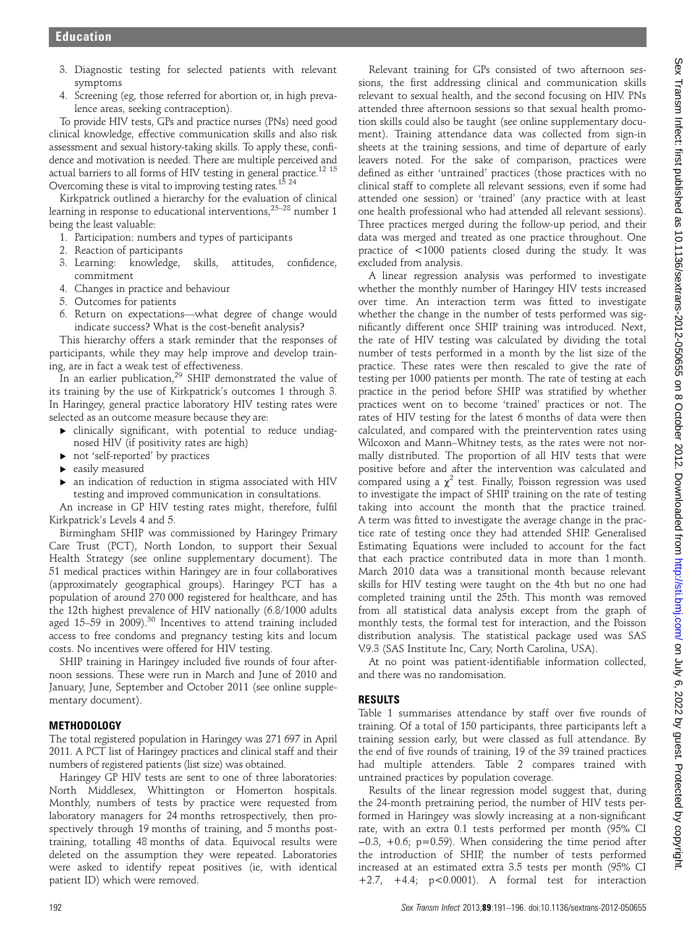- 3. Diagnostic testing for selected patients with relevant symptoms
- 4. Screening (eg, those referred for abortion or, in high prevalence areas, seeking contraception).

To provide HIV tests, GPs and practice nurses (PNs) need good clinical knowledge, effective communication skills and also risk assessment and sexual history-taking skills. To apply these, confidence and motivation is needed. There are multiple perceived and actual barriers to all forms of HIV testing in general practice.<sup>12</sup> <sup>15</sup> Overcoming these is vital to improving testing rates.<sup>15 24</sup>

Kirkpatrick outlined a hierarchy for the evaluation of clinical learning in response to educational interventions,25–<sup>28</sup> number 1 being the least valuable:

- 1. Participation: numbers and types of participants
- 2. Reaction of participants
- 3. Learning: knowledge, skills, attitudes, confidence, commitment
- 4. Changes in practice and behaviour
- 5. Outcomes for patients
- 6. Return on expectations—what degree of change would indicate success? What is the cost-benefit analysis?

This hierarchy offers a stark reminder that the responses of participants, while they may help improve and develop training, are in fact a weak test of effectiveness.

In an earlier publication,<sup>29</sup> SHIP demonstrated the value of its training by the use of Kirkpatrick's outcomes 1 through 3. In Haringey, general practice laboratory HIV testing rates were selected as an outcome measure because they are:

- ▸ clinically significant, with potential to reduce undiagnosed HIV (if positivity rates are high)
- ▸ not 'self-reported' by practices
- ▸ easily measured
- an indication of reduction in stigma associated with HIV testing and improved communication in consultations.

An increase in GP HIV testing rates might, therefore, fulfil Kirkpatrick's Levels 4 and 5.

Birmingham SHIP was commissioned by Haringey Primary Care Trust (PCT), North London, to support their Sexual Health Strategy (see online supplementary document). The 51 medical practices within Haringey are in four collaboratives (approximately geographical groups). Haringey PCT has a population of around 270 000 registered for healthcare, and has the 12th highest prevalence of HIV nationally (6.8/1000 adults aged  $15-59$  in 2009).<sup>30</sup> Incentives to attend training included access to free condoms and pregnancy testing kits and locum costs. No incentives were offered for HIV testing.

SHIP training in Haringey included five rounds of four afternoon sessions. These were run in March and June of 2010 and January, June, September and October 2011 (see online supplementary document).

## METHODOLOGY

The total registered population in Haringey was 271 697 in April 2011. A PCT list of Haringey practices and clinical staff and their numbers of registered patients (list size) was obtained.

Haringey GP HIV tests are sent to one of three laboratories: North Middlesex, Whittington or Homerton hospitals. Monthly, numbers of tests by practice were requested from laboratory managers for 24 months retrospectively, then prospectively through 19 months of training, and 5 months posttraining, totalling 48 months of data. Equivocal results were deleted on the assumption they were repeated. Laboratories were asked to identify repeat positives (ie, with identical patient ID) which were removed.

Relevant training for GPs consisted of two afternoon sessions, the first addressing clinical and communication skills relevant to sexual health, and the second focusing on HIV. PNs attended three afternoon sessions so that sexual health promotion skills could also be taught (see online supplementary document). Training attendance data was collected from sign-in sheets at the training sessions, and time of departure of early leavers noted. For the sake of comparison, practices were defined as either 'untrained' practices (those practices with no clinical staff to complete all relevant sessions, even if some had attended one session) or 'trained' (any practice with at least one health professional who had attended all relevant sessions). Three practices merged during the follow-up period, and their data was merged and treated as one practice throughout. One practice of <1000 patients closed during the study. It was excluded from analysis.

A linear regression analysis was performed to investigate whether the monthly number of Haringey HIV tests increased over time. An interaction term was fitted to investigate whether the change in the number of tests performed was significantly different once SHIP training was introduced. Next, the rate of HIV testing was calculated by dividing the total number of tests performed in a month by the list size of the practice. These rates were then rescaled to give the rate of testing per 1000 patients per month. The rate of testing at each practice in the period before SHIP was stratified by whether practices went on to become 'trained' practices or not. The rates of HIV testing for the latest 6 months of data were then calculated, and compared with the preintervention rates using Wilcoxon and Mann–Whitney tests, as the rates were not normally distributed. The proportion of all HIV tests that were positive before and after the intervention was calculated and compared using a  $\chi^2$  test. Finally, Poisson regression was used to investigate the impact of SHIP training on the rate of testing taking into account the month that the practice trained. A term was fitted to investigate the average change in the practice rate of testing once they had attended SHIP. Generalised Estimating Equations were included to account for the fact that each practice contributed data in more than 1 month. March 2010 data was a transitional month because relevant skills for HIV testing were taught on the 4th but no one had completed training until the 25th. This month was removed from all statistical data analysis except from the graph of monthly tests, the formal test for interaction, and the Poisson distribution analysis. The statistical package used was SAS V.9.3 (SAS Institute Inc, Cary, North Carolina, USA).

At no point was patient-identifiable information collected, and there was no randomisation.

## RESULTS

Table 1 summarises attendance by staff over five rounds of training. Of a total of 150 participants, three participants left a training session early, but were classed as full attendance. By the end of five rounds of training, 19 of the 39 trained practices had multiple attenders. Table 2 compares trained with untrained practices by population coverage.

Results of the linear regression model suggest that, during the 24-month pretraining period, the number of HIV tests performed in Haringey was slowly increasing at a non-significant rate, with an extra 0.1 tests performed per month (95% CI −0.3, +0.6; p=0.59). When considering the time period after the introduction of SHIP, the number of tests performed increased at an estimated extra 3.5 tests per month (95% CI +2.7, +4.4; p<0.0001). A formal test for interaction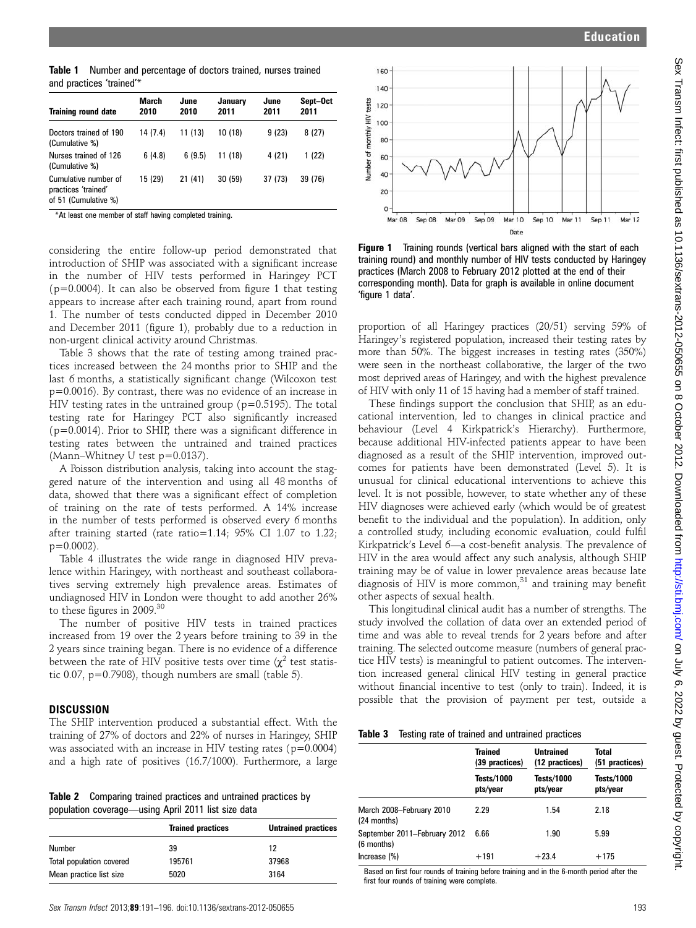| <b>Table 1</b> Number and percentage of doctors trained, nurses trained |
|-------------------------------------------------------------------------|
| and practices 'trained'*                                                |

| <b>Training round date</b>                                          | <b>March</b><br>2010 | June<br>2010 | January<br>2011 | June<br>2011 | Sept-Oct<br>2011 |
|---------------------------------------------------------------------|----------------------|--------------|-----------------|--------------|------------------|
| Doctors trained of 190<br>(Cumulative %)                            | 14 (7.4)             | 11 (13)      | 10(18)          | 9(23)        | 8 (27)           |
| Nurses trained of 126<br>(Cumulative %)                             | 6(4.8)               | 6(9.5)       | 11 (18)         | 4 (21)       | 1 (22)           |
| Cumulative number of<br>practices 'trained'<br>of 51 (Cumulative %) | 15 (29)              | 21(41)       | 30(59)          | 37 (73)      | 39 (76)          |

\*At least one member of staff having completed training.

considering the entire follow-up period demonstrated that introduction of SHIP was associated with a significant increase in the number of HIV tests performed in Haringey PCT  $(p=0.0004)$ . It can also be observed from figure 1 that testing appears to increase after each training round, apart from round 1. The number of tests conducted dipped in December 2010 and December 2011 (figure 1), probably due to a reduction in non-urgent clinical activity around Christmas.

Table 3 shows that the rate of testing among trained practices increased between the 24 months prior to SHIP and the last 6 months, a statistically significant change (Wilcoxon test p=0.0016). By contrast, there was no evidence of an increase in HIV testing rates in the untrained group ( $p=0.5195$ ). The total testing rate for Haringey PCT also significantly increased  $(p=0.0014)$ . Prior to SHIP, there was a significant difference in testing rates between the untrained and trained practices (Mann–Whitney U test p=0.0137).

A Poisson distribution analysis, taking into account the staggered nature of the intervention and using all 48 months of data, showed that there was a significant effect of completion of training on the rate of tests performed. A 14% increase in the number of tests performed is observed every 6 months after training started (rate ratio=1.14; 95% CI 1.07 to 1.22;  $p=0.0002$ ).

Table 4 illustrates the wide range in diagnosed HIV prevalence within Haringey, with northeast and southeast collaboratives serving extremely high prevalence areas. Estimates of undiagnosed HIV in London were thought to add another 26% to these figures in 2009.30

The number of positive HIV tests in trained practices increased from 19 over the 2 years before training to 39 in the 2 years since training began. There is no evidence of a difference between the rate of HIV positive tests over time  $\chi^2$  test statistic 0.07, p=0.7908), though numbers are small (table 5).

#### **DISCUSSION**

The SHIP intervention produced a substantial effect. With the training of 27% of doctors and 22% of nurses in Haringey, SHIP was associated with an increase in HIV testing rates  $(p=0.0004)$ and a high rate of positives (16.7/1000). Furthermore, a large

Table 2 Comparing trained practices and untrained practices by population coverage—using April 2011 list size data

|                          | <b>Trained practices</b> | <b>Untrained practices</b> |
|--------------------------|--------------------------|----------------------------|
| Number                   | 39                       | 12                         |
| Total population covered | 195761                   | 37968                      |
| Mean practice list size  | 5020                     | 3164                       |





**Figure 1** Training rounds (vertical bars aligned with the start of each training round) and monthly number of HIV tests conducted by Haringey practices (March 2008 to February 2012 plotted at the end of their corresponding month). Data for graph is available in online document 'figure 1 data'.

proportion of all Haringey practices (20/51) serving 59% of Haringey's registered population, increased their testing rates by more than 50%. The biggest increases in testing rates (350%) were seen in the northeast collaborative, the larger of the two most deprived areas of Haringey, and with the highest prevalence of HIV with only 11 of 15 having had a member of staff trained.

These findings support the conclusion that SHIP, as an educational intervention, led to changes in clinical practice and behaviour (Level 4 Kirkpatrick's Hierarchy). Furthermore, because additional HIV-infected patients appear to have been diagnosed as a result of the SHIP intervention, improved outcomes for patients have been demonstrated (Level 5). It is unusual for clinical educational interventions to achieve this level. It is not possible, however, to state whether any of these HIV diagnoses were achieved early (which would be of greatest benefit to the individual and the population). In addition, only a controlled study, including economic evaluation, could fulfil Kirkpatrick's Level 6—a cost-benefit analysis. The prevalence of HIV in the area would affect any such analysis, although SHIP training may be of value in lower prevalence areas because late diagnosis of HIV is more common,  $31$  and training may benefit other aspects of sexual health.

This longitudinal clinical audit has a number of strengths. The study involved the collation of data over an extended period of time and was able to reveal trends for 2 years before and after training. The selected outcome measure (numbers of general practice HIV tests) is meaningful to patient outcomes. The intervention increased general clinical HIV testing in general practice without financial incentive to test (only to train). Indeed, it is possible that the provision of payment per test, outside a

| Table 3 |  | Testing rate of trained and untrained practices |  |  |
|---------|--|-------------------------------------------------|--|--|
|---------|--|-------------------------------------------------|--|--|

|                                            | <b>Trained</b><br>(39 practices)<br><b>Tests/1000</b><br>pts/year | <b>Untrained</b><br>(12 practices) | Total<br>(51 practices)<br>Tests/1000<br>pts/year |  |
|--------------------------------------------|-------------------------------------------------------------------|------------------------------------|---------------------------------------------------|--|
|                                            |                                                                   | Tests/1000<br>pts/year             |                                                   |  |
| March 2008-February 2010<br>(24 months)    | 2.29                                                              | 1.54                               | 2.18                                              |  |
| September 2011-February 2012<br>(6 months) | 6.66                                                              | 1.90                               | 5.99                                              |  |
| Increase (%)                               | $+191$                                                            | $+23.4$                            | $+175$                                            |  |

Based on first four rounds of training before training and in the 6-month period after the first four rounds of training were complete.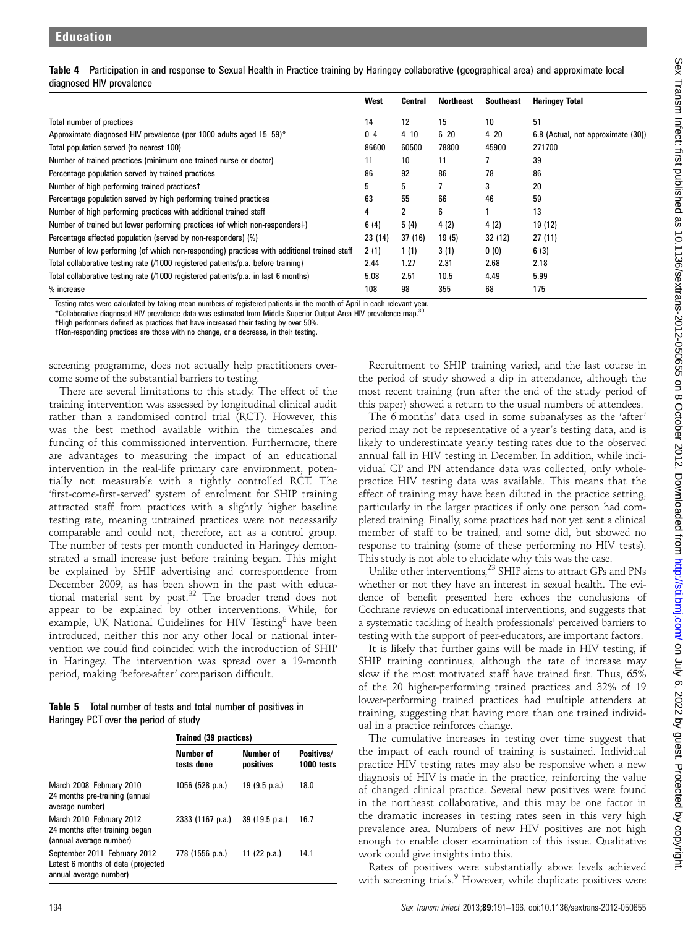| Table 4 Participation in and response to Sexual Health in Practice training by Haringey collaborative (geographical area) and approximate local |  |  |  |  |
|-------------------------------------------------------------------------------------------------------------------------------------------------|--|--|--|--|
| diagnosed HIV prevalence                                                                                                                        |  |  |  |  |

|                                                                                            | West    | Central  | <b>Northeast</b> | <b>Southeast</b> | <b>Haringey Total</b>             |
|--------------------------------------------------------------------------------------------|---------|----------|------------------|------------------|-----------------------------------|
| Total number of practices                                                                  | 14      | 12       | 15               | 10               | 51                                |
| Approximate diagnosed HIV prevalence (per 1000 adults aged 15–59)*                         | $0 - 4$ | $4 - 10$ | $6 - 20$         | $4 - 20$         | 6.8 (Actual, not approximate (30) |
| Total population served (to nearest 100)                                                   | 86600   | 60500    | 78800            | 45900            | 271700                            |
| Number of trained practices (minimum one trained nurse or doctor)                          | 11      | 10       | 11               |                  | 39                                |
| Percentage population served by trained practices                                          | 86      | 92       | 86               | 78               | 86                                |
| Number of high performing trained practicest                                               | 5       | 5        |                  | 3                | 20                                |
| Percentage population served by high performing trained practices                          | 63      | 55       | 66               | 46               | 59                                |
| Number of high performing practices with additional trained staff                          | 4       | 2        | 6                |                  | 13                                |
| Number of trained but lower performing practices (of which non-responders‡)                | 6(4)    | 5(4)     | 4(2)             | 4(2)             | 19 (12)                           |
| Percentage affected population (served by non-responders) (%)                              | 23 (14) | 37(16)   | 19(5)            | 32 (12)          | 27(11)                            |
| Number of low performing (of which non-responding) practices with additional trained staff | 2(1)    | 1(1)     | 3(1)             | 0(0)             | 6(3)                              |
| Total collaborative testing rate (/1000 registered patients/p.a. before training)          | 2.44    | 1.27     | 2.31             | 2.68             | 2.18                              |
| Total collaborative testing rate (/1000 registered patients/p.a. in last 6 months)         | 5.08    | 2.51     | 10.5             | 4.49             | 5.99                              |
| % increase                                                                                 | 108     | 98       | 355              | 68               | 175                               |

Testing rates were calculated by taking mean numbers of registered patients in the month of April in each relevant year.

\*Collaborative diagnosed HIV prevalence data was estimated from Middle Superior Output Area HIV prevalence map.<sup>30</sup>

†High performers defined as practices that have increased their testing by over 50%.

‡Non-responding practices are those with no change, or a decrease, in their testing.

screening programme, does not actually help practitioners overcome some of the substantial barriers to testing.

There are several limitations to this study. The effect of the training intervention was assessed by longitudinal clinical audit rather than a randomised control trial (RCT). However, this was the best method available within the timescales and funding of this commissioned intervention. Furthermore, there are advantages to measuring the impact of an educational intervention in the real-life primary care environment, potentially not measurable with a tightly controlled RCT. The 'first-come-first-served' system of enrolment for SHIP training attracted staff from practices with a slightly higher baseline testing rate, meaning untrained practices were not necessarily comparable and could not, therefore, act as a control group. The number of tests per month conducted in Haringey demonstrated a small increase just before training began. This might be explained by SHIP advertising and correspondence from December 2009, as has been shown in the past with educational material sent by post.<sup>32</sup> The broader trend does not appear to be explained by other interventions. While, for example, UK National Guidelines for HIV Testing<sup>8</sup> have been introduced, neither this nor any other local or national intervention we could find coincided with the introduction of SHIP in Haringey. The intervention was spread over a 19-month period, making 'before-after' comparison difficult.

Table 5 Total number of tests and total number of positives in Haringey PCT over the period of study

|                                                                                              | Trained (39 practices)  |                        |                          |  |  |  |
|----------------------------------------------------------------------------------------------|-------------------------|------------------------|--------------------------|--|--|--|
|                                                                                              | Numher of<br>tests done | Number of<br>positives | Positives/<br>1000 tests |  |  |  |
| March 2008-February 2010<br>24 months pre-training (annual<br>average number)                | 1056 (528 p.a.)         | 19 $(9.5 p.a.)$        | 18.0                     |  |  |  |
| March 2010-February 2012<br>24 months after training began<br>(annual average number)        | 2333 (1167 p.a.)        | 39(19.5 p.a.)          | 16.7                     |  |  |  |
| September 2011-February 2012<br>Latest 6 months of data (projected<br>annual average number) | 778 (1556 p.a.)         | 11 (22 p.a.)           | 14.1                     |  |  |  |

Recruitment to SHIP training varied, and the last course in the period of study showed a dip in attendance, although the most recent training (run after the end of the study period of this paper) showed a return to the usual numbers of attendees.

The 6 months' data used in some subanalyses as the 'after' period may not be representative of a year's testing data, and is likely to underestimate yearly testing rates due to the observed annual fall in HIV testing in December. In addition, while individual GP and PN attendance data was collected, only wholepractice HIV testing data was available. This means that the effect of training may have been diluted in the practice setting, particularly in the larger practices if only one person had completed training. Finally, some practices had not yet sent a clinical member of staff to be trained, and some did, but showed no response to training (some of these performing no HIV tests). This study is not able to elucidate why this was the case.

Unlike other interventions,<sup>23</sup> SHIP aims to attract GPs and PNs whether or not they have an interest in sexual health. The evidence of benefit presented here echoes the conclusions of Cochrane reviews on educational interventions, and suggests that a systematic tackling of health professionals' perceived barriers to testing with the support of peer-educators, are important factors.

It is likely that further gains will be made in HIV testing, if SHIP training continues, although the rate of increase may slow if the most motivated staff have trained first. Thus, 65% of the 20 higher-performing trained practices and 32% of 19 lower-performing trained practices had multiple attenders at training, suggesting that having more than one trained individual in a practice reinforces change.

The cumulative increases in testing over time suggest that the impact of each round of training is sustained. Individual practice HIV testing rates may also be responsive when a new diagnosis of HIV is made in the practice, reinforcing the value of changed clinical practice. Several new positives were found in the northeast collaborative, and this may be one factor in the dramatic increases in testing rates seen in this very high prevalence area. Numbers of new HIV positives are not high enough to enable closer examination of this issue. Qualitative work could give insights into this.

Rates of positives were substantially above levels achieved with screening trials.<sup>9</sup> However, while duplicate positives were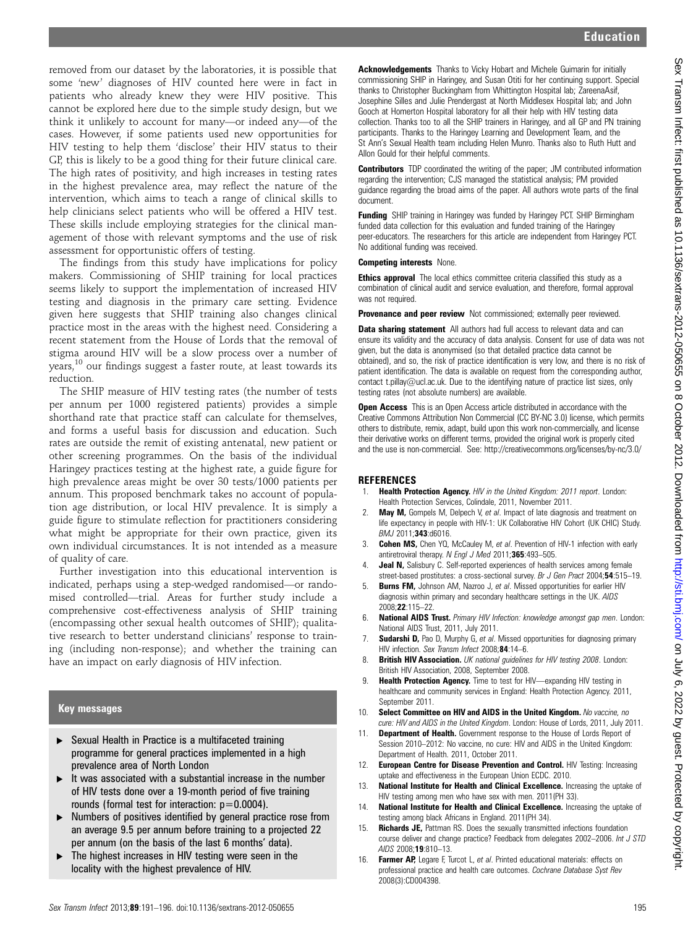removed from our dataset by the laboratories, it is possible that some 'new' diagnoses of HIV counted here were in fact in patients who already knew they were HIV positive. This cannot be explored here due to the simple study design, but we think it unlikely to account for many—or indeed any—of the cases. However, if some patients used new opportunities for HIV testing to help them 'disclose' their HIV status to their GP, this is likely to be a good thing for their future clinical care. The high rates of positivity, and high increases in testing rates in the highest prevalence area, may reflect the nature of the intervention, which aims to teach a range of clinical skills to help clinicians select patients who will be offered a HIV test. These skills include employing strategies for the clinical management of those with relevant symptoms and the use of risk assessment for opportunistic offers of testing.

The findings from this study have implications for policy makers. Commissioning of SHIP training for local practices seems likely to support the implementation of increased HIV testing and diagnosis in the primary care setting. Evidence given here suggests that SHIP training also changes clinical practice most in the areas with the highest need. Considering a recent statement from the House of Lords that the removal of stigma around HIV will be a slow process over a number of years,<sup>10</sup> our findings suggest a faster route, at least towards its reduction.

The SHIP measure of HIV testing rates (the number of tests per annum per 1000 registered patients) provides a simple shorthand rate that practice staff can calculate for themselves, and forms a useful basis for discussion and education. Such rates are outside the remit of existing antenatal, new patient or other screening programmes. On the basis of the individual Haringey practices testing at the highest rate, a guide figure for high prevalence areas might be over 30 tests/1000 patients per annum. This proposed benchmark takes no account of population age distribution, or local HIV prevalence. It is simply a guide figure to stimulate reflection for practitioners considering what might be appropriate for their own practice, given its own individual circumstances. It is not intended as a measure of quality of care.

Further investigation into this educational intervention is indicated, perhaps using a step-wedged randomised—or randomised controlled—trial. Areas for further study include a comprehensive cost-effectiveness analysis of SHIP training (encompassing other sexual health outcomes of SHIP); qualitative research to better understand clinicians' response to training (including non-response); and whether the training can have an impact on early diagnosis of HIV infection.

#### Key messages

- ▸ Sexual Health in Practice is a multifaceted training programme for general practices implemented in a high prevalence area of North London
- It was associated with a substantial increase in the number of HIV tests done over a 19-month period of five training rounds (formal test for interaction:  $p=0.0004$ ).
- ▸ Numbers of positives identified by general practice rose from an average 9.5 per annum before training to a projected 22 per annum (on the basis of the last 6 months' data).
- The highest increases in HIV testing were seen in the locality with the highest prevalence of HIV.

Acknowledgements Thanks to Vicky Hobart and Michele Guimarin for initially commissioning SHIP in Haringey, and Susan Otiti for her continuing support. Special thanks to Christopher Buckingham from Whittington Hospital lab; ZareenaAsif, Josephine Silles and Julie Prendergast at North Middlesex Hospital lab; and John Gooch at Homerton Hospital laboratory for all their help with HIV testing data collection. Thanks too to all the SHIP trainers in Haringey, and all GP and PN training participants. Thanks to the Haringey Learning and Development Team, and the St Ann's Sexual Health team including Helen Munro. Thanks also to Ruth Hutt and Allon Gould for their helpful comments.

**Contributors** TDP coordinated the writing of the paper; JM contributed information regarding the intervention; CJS managed the statistical analysis; PM provided guidance regarding the broad aims of the paper. All authors wrote parts of the final document.

Funding SHIP training in Haringey was funded by Haringey PCT. SHIP Birmingham funded data collection for this evaluation and funded training of the Haringey peer-educators. The researchers for this article are independent from Haringey PCT. No additional funding was received.

#### Competing interests None.

**Ethics approval** The local ethics committee criteria classified this study as a combination of clinical audit and service evaluation, and therefore, formal approval was not required.

Provenance and peer review Not commissioned; externally peer reviewed.

**Data sharing statement** All authors had full access to relevant data and can ensure its validity and the accuracy of data analysis. Consent for use of data was not given, but the data is anonymised (so that detailed practice data cannot be obtained), and so, the risk of practice identification is very low, and there is no risk of patient identification. The data is available on request from the corresponding author, contact t.pillay@ucl.ac.uk. Due to the identifying nature of practice list sizes, only testing rates (not absolute numbers) are available.

**Open Access** This is an Open Access article distributed in accordance with the Creative Commons Attribution Non Commercial (CC BY-NC 3.0) license, which permits others to distribute, remix, adapt, build upon this work non-commercially, and license their derivative works on different terms, provided the original work is properly cited and the use is non-commercial. See: http://creativecommons.org/licenses/by-nc/3.0/

#### **REFERENCES**

- **Health Protection Agency.** HIV in the United Kingdom: 2011 report. London: Health Protection Services, Colindale, 2011, November 2011.
- 2. May M, Gompels M, Delpech V, et al. Impact of late diagnosis and treatment on life expectancy in people with HIV-1: UK Collaborative HIV Cohort (UK CHIC) Study. BMJ 2011;343:d6016.
- 3. **Cohen MS,** Chen YQ, McCauley M, et al. Prevention of HIV-1 infection with early antiretroviral therapy. N Engl J Med 2011;365:493-505.
- Jeal N, Salisbury C. Self-reported experiences of health services among female street-based prostitutes: a cross-sectional survey. Br J Gen Pract 2004;54:515-19.
- Burns FM, Johnson AM, Nazroo J, et al. Missed opportunities for earlier HIV diagnosis within primary and secondary healthcare settings in the UK. AIDS 2008;22:115–22.
- 6. National AIDS Trust. Primary HIV Infection: knowledge amongst gap men. London: National AIDS Trust, 2011, July 2011.
- 7. **Sudarshi D,** Pao D, Murphy G, et al. Missed opportunities for diagnosing primary HIV infection. Sex Transm Infect 2008;84:14-6.
- 8. British HIV Association. UK national guidelines for HIV testing 2008. London: British HIV Association, 2008, September 2008.
- 9. **Health Protection Agency.** Time to test for HIV—expanding HIV testing in healthcare and community services in England: Health Protection Agency. 2011, September 2011.
- 10. Select Committee on HIV and AIDS in the United Kingdom. No vaccine, no cure: HIV and AIDS in the United Kingdom. London: House of Lords, 2011, July 2011.
- 11. Department of Health. Government response to the House of Lords Report of Session 2010–2012: No vaccine, no cure: HIV and AIDS in the United Kingdom: Department of Health. 2011, October 2011.
- 12. European Centre for Disease Prevention and Control. HIV Testing: Increasing uptake and effectiveness in the European Union ECDC. 2010.
- 13. National Institute for Health and Clinical Excellence. Increasing the uptake of HIV testing among men who have sex with men. 2011(PH 33).
- 14. National Institute for Health and Clinical Excellence. Increasing the uptake of testing among black Africans in England. 2011(PH 34).
- 15. Richards JE, Pattman RS. Does the sexually transmitted infections foundation course deliver and change practice? Feedback from delegates 2002–2006. Int J STD AIDS 2008;19:810-13.
- 16. Farmer AP, Legare F, Turcot L, et al. Printed educational materials: effects on professional practice and health care outcomes. Cochrane Database Syst Rev 2008(3):CD004398.